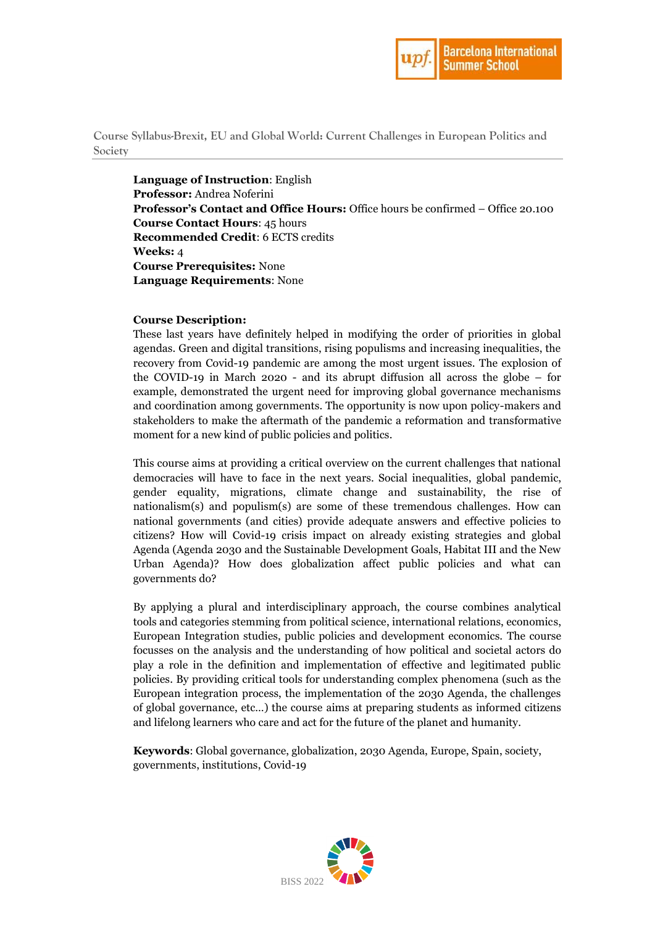

**Course Syllabus-Brexit, EU and Global World: Current Challenges in European Politics and Society**

**Language of Instruction**: English **Professor:** Andrea Noferini **Professor's Contact and Office Hours:** Office hours be confirmed – Office 20.100 **Course Contact Hours**: 45 hours **Recommended Credit**: 6 ECTS credits **Weeks:** 4 **Course Prerequisites:** None **Language Requirements**: None

### **Course Description:**

These last years have definitely helped in modifying the order of priorities in global agendas. Green and digital transitions, rising populisms and increasing inequalities, the recovery from Covid-19 pandemic are among the most urgent issues. The explosion of the COVID-19 in March 2020 - and its abrupt diffusion all across the globe – for example, demonstrated the urgent need for improving global governance mechanisms and coordination among governments. The opportunity is now upon policy-makers and stakeholders to make the aftermath of the pandemic a reformation and transformative moment for a new kind of public policies and politics.

This course aims at providing a critical overview on the current challenges that national democracies will have to face in the next years. Social inequalities, global pandemic, gender equality, migrations, climate change and sustainability, the rise of nationalism(s) and populism(s) are some of these tremendous challenges. How can national governments (and cities) provide adequate answers and effective policies to citizens? How will Covid-19 crisis impact on already existing strategies and global Agenda (Agenda 2030 and the Sustainable Development Goals, Habitat III and the New Urban Agenda)? How does globalization affect public policies and what can governments do?

By applying a plural and interdisciplinary approach, the course combines analytical tools and categories stemming from political science, international relations, economics, European Integration studies, public policies and development economics. The course focusses on the analysis and the understanding of how political and societal actors do play a role in the definition and implementation of effective and legitimated public policies. By providing critical tools for understanding complex phenomena (such as the European integration process, the implementation of the 2030 Agenda, the challenges of global governance, etc…) the course aims at preparing students as informed citizens and lifelong learners who care and act for the future of the planet and humanity.

**Keywords**: Global governance, globalization, 2030 Agenda, Europe, Spain, society, governments, institutions, Covid-19

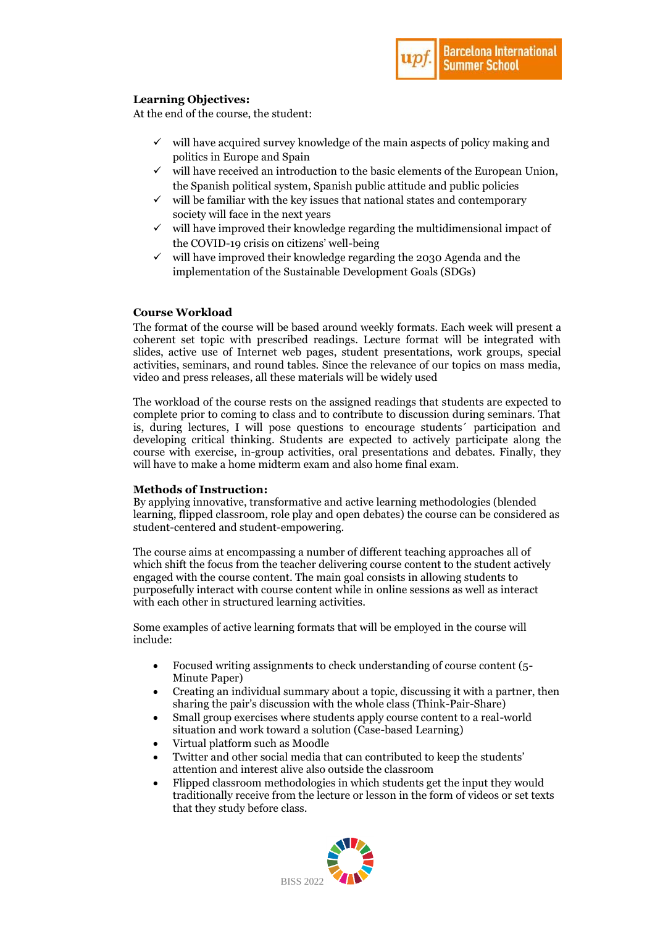### **Learning Objectives:**

At the end of the course, the student:

- $\checkmark$  will have acquired survey knowledge of the main aspects of policy making and politics in Europe and Spain
- $\checkmark$  will have received an introduction to the basic elements of the European Union, the Spanish political system, Spanish public attitude and public policies
- $\checkmark$  will be familiar with the key issues that national states and contemporary society will face in the next years
- $\checkmark$  will have improved their knowledge regarding the multidimensional impact of the COVID-19 crisis on citizens' well-being
- $\checkmark$  will have improved their knowledge regarding the 2030 Agenda and the implementation of the Sustainable Development Goals (SDGs)

### **Course Workload**

The format of the course will be based around weekly formats. Each week will present a coherent set topic with prescribed readings. Lecture format will be integrated with slides, active use of Internet web pages, student presentations, work groups, special activities, seminars, and round tables. Since the relevance of our topics on mass media, video and press releases, all these materials will be widely used

The workload of the course rests on the assigned readings that students are expected to complete prior to coming to class and to contribute to discussion during seminars. That is, during lectures, I will pose questions to encourage students´ participation and developing critical thinking. Students are expected to actively participate along the course with exercise, in-group activities, oral presentations and debates. Finally, they will have to make a home midterm exam and also home final exam.

### **Methods of Instruction:**

By applying innovative, transformative and active learning methodologies (blended learning, flipped classroom, role play and open debates) the course can be considered as student-centered and student-empowering.

The course aims at encompassing a number of different teaching approaches all of which shift the focus from the teacher delivering course content to the student actively engaged with the course content. The main goal consists in allowing students to purposefully interact with course content while in online sessions as well as interact with each other in structured learning activities.

Some examples of active learning formats that will be employed in the course will include:

- Focused writing assignments to check understanding of course content (5- Minute Paper)
- Creating an individual summary about a topic, discussing it with a partner, then sharing the pair's discussion with the whole class (Think-Pair-Share)
- Small group exercises where students apply course content to a real-world situation and work toward a solution (Case-based Learning)
- Virtual platform such as Moodle
- Twitter and other social media that can contributed to keep the students' attention and interest alive also outside the classroom
- Flipped classroom methodologies in which students get the input they would traditionally receive from the lecture or lesson in the form of videos or set texts that they study before class.

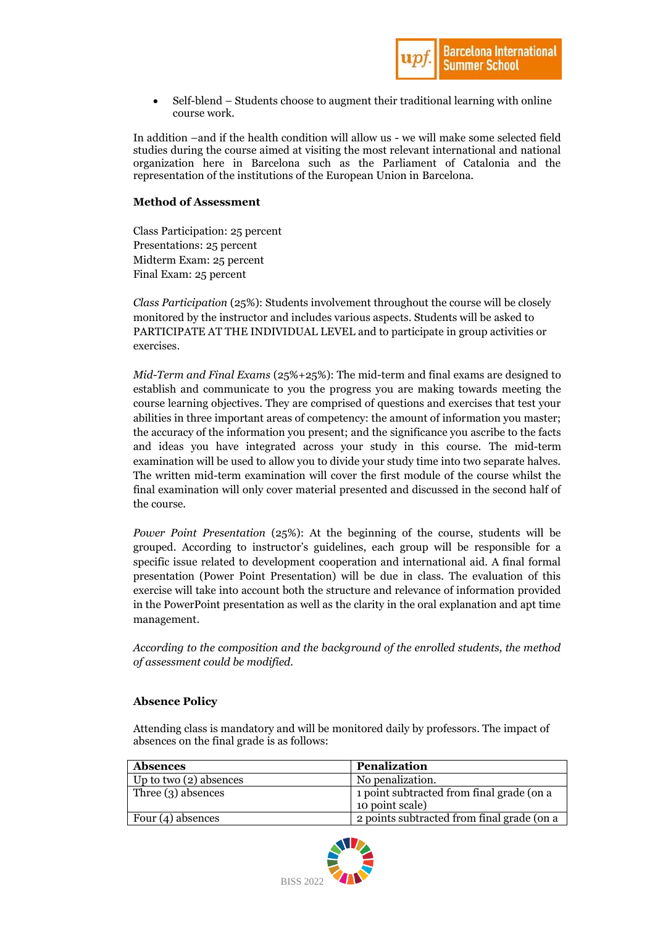

 Self-blend – Students choose to augment their traditional learning with online course work.

In addition –and if the health condition will allow us - we will make some selected field studies during the course aimed at visiting the most relevant international and national organization here in Barcelona such as the Parliament of Catalonia and the representation of the institutions of the European Union in Barcelona.

### **Method of Assessment**

Class Participation: 25 percent Presentations: 25 percent Midterm Exam: 25 percent Final Exam: 25 percent

*Class Participation* (25%): Students involvement throughout the course will be closely monitored by the instructor and includes various aspects. Students will be asked to PARTICIPATE AT THE INDIVIDUAL LEVEL and to participate in group activities or exercises.

*Mid-Term and Final Exams* (25%+25%): The mid-term and final exams are designed to establish and communicate to you the progress you are making towards meeting the course learning objectives. They are comprised of questions and exercises that test your abilities in three important areas of competency: the amount of information you master; the accuracy of the information you present; and the significance you ascribe to the facts and ideas you have integrated across your study in this course. The mid-term examination will be used to allow you to divide your study time into two separate halves. The written mid-term examination will cover the first module of the course whilst the final examination will only cover material presented and discussed in the second half of the course.

*Power Point Presentation* (25%): At the beginning of the course, students will be grouped. According to instructor's guidelines, each group will be responsible for a specific issue related to development cooperation and international aid. A final formal presentation (Power Point Presentation) will be due in class. The evaluation of this exercise will take into account both the structure and relevance of information provided in the PowerPoint presentation as well as the clarity in the oral explanation and apt time management.

*According to the composition and the background of the enrolled students, the method of assessment could be modified.* 

### **Absence Policy**

Attending class is mandatory and will be monitored daily by professors. The impact of absences on the final grade is as follows:

| <b>Absences</b>          | Penalization                                                 |
|--------------------------|--------------------------------------------------------------|
| Up to two $(2)$ absences | No penalization.                                             |
| Three $(3)$ absences     | 1 point subtracted from final grade (on a<br>10 point scale) |
| Four $(4)$ absences      | 2 points subtracted from final grade (on a                   |

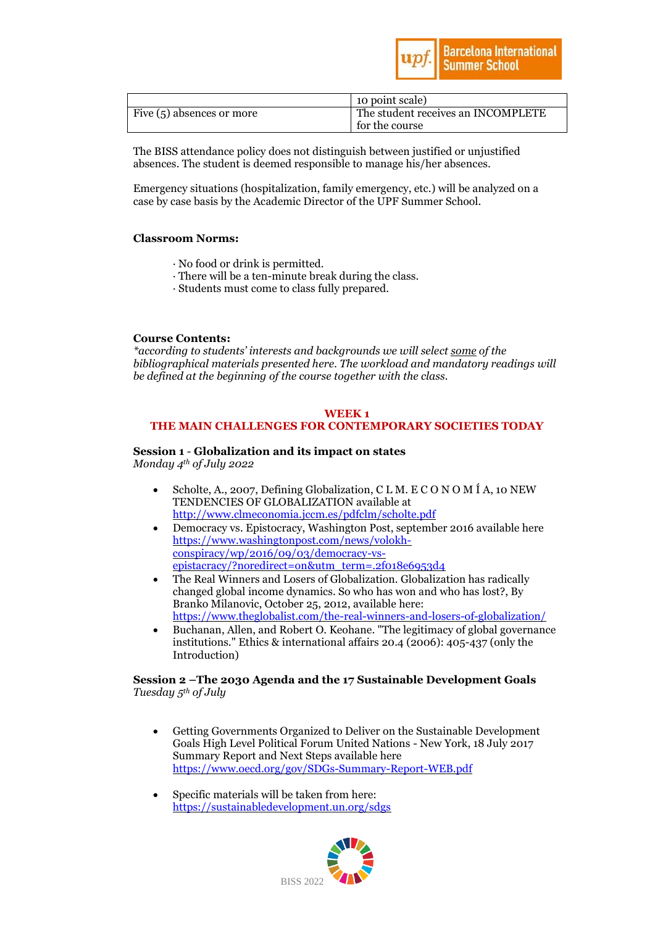

|                             | 10 point scale)                    |
|-----------------------------|------------------------------------|
| Five $(5)$ absences or more | The student receives an INCOMPLETE |
|                             | for the course                     |

The BISS attendance policy does not distinguish between justified or unjustified absences. The student is deemed responsible to manage his/her absences.

Emergency situations (hospitalization, family emergency, etc.) will be analyzed on a case by case basis by the Academic Director of the UPF Summer School.

### **Classroom Norms:**

- · No food or drink is permitted.
- · There will be a ten-minute break during the class.
- · Students must come to class fully prepared.

### **Course Contents:**

*\*according to students' interests and backgrounds we will select some of the bibliographical materials presented here. The workload and mandatory readings will be defined at the beginning of the course together with the class.* 

### **WEEK 1 THE MAIN CHALLENGES FOR CONTEMPORARY SOCIETIES TODAY**

# **Session 1** - **Globalization and its impact on states**

*Monday 4th of July 2022*

- Scholte, A., 2007, Defining Globalization, C L M. E C O N O M Í A, 10 NEW TENDENCIES OF GLOBALIZATION available at <http://www.clmeconomia.jccm.es/pdfclm/scholte.pdf>
- Democracy vs. Epistocracy, Washington Post, september 2016 available here [https://www.washingtonpost.com/news/volokh](https://www.washingtonpost.com/news/volokh-conspiracy/wp/2016/09/03/democracy-vs-epistacracy/?noredirect=on&utm_term=.2f018e6953d4)[conspiracy/wp/2016/09/03/democracy-vs](https://www.washingtonpost.com/news/volokh-conspiracy/wp/2016/09/03/democracy-vs-epistacracy/?noredirect=on&utm_term=.2f018e6953d4)[epistacracy/?noredirect=on&utm\\_term=.2f018e6953d4](https://www.washingtonpost.com/news/volokh-conspiracy/wp/2016/09/03/democracy-vs-epistacracy/?noredirect=on&utm_term=.2f018e6953d4)
- The Real Winners and Losers of Globalization. Globalization has radically changed global income dynamics. So who has won and who has lost?, By Branko Milanovic, October 25, 2012, available here: <https://www.theglobalist.com/the-real-winners-and-losers-of-globalization/>
- Buchanan, Allen, and Robert O. Keohane. "The legitimacy of global governance institutions." Ethics & international affairs 20.4 (2006): 405-437 (only the Introduction)

### **Session 2 –The 2030 Agenda and the 17 Sustainable Development Goals**  *Tuesday 5th of July*

- Getting Governments Organized to Deliver on the Sustainable Development Goals High Level Political Forum United Nations - New York, 18 July 2017 Summary Report and Next Steps available here <https://www.oecd.org/gov/SDGs-Summary-Report-WEB.pdf>
- Specific materials will be taken from here: <https://sustainabledevelopment.un.org/sdgs>

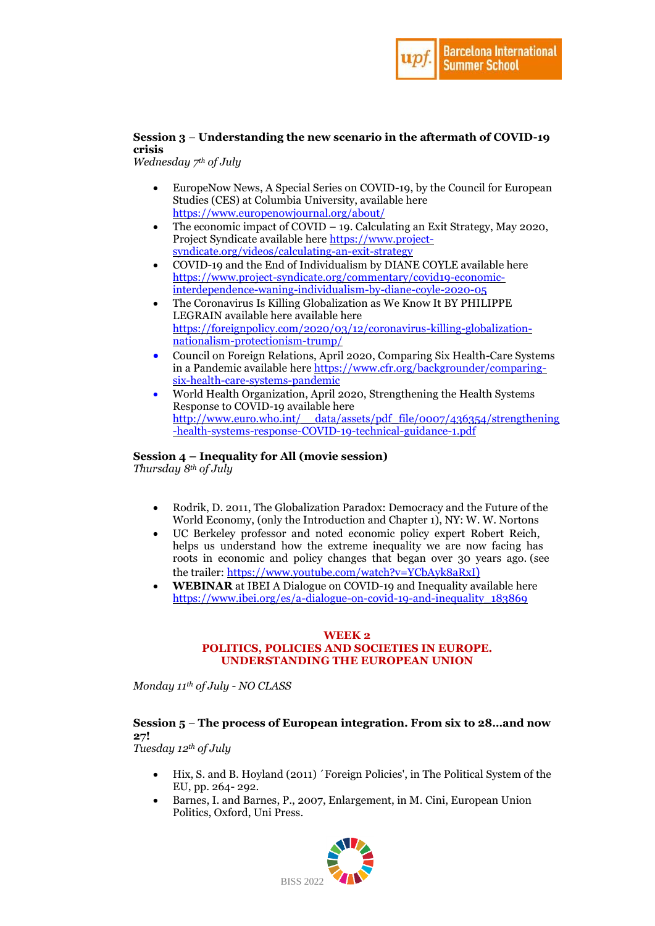

### **Session 3** – **Understanding the new scenario in the aftermath of COVID-19 crisis**

*Wednesday 7th of July* 

- EuropeNow News, A Special Series on COVID-19, by the Council for European Studies (CES) at Columbia University, available here <https://www.europenowjournal.org/about/>
- The economic impact of COVID 19. Calculating an Exit Strategy, May 2020, Project Syndicate available here [https://www.project](https://www.project-syndicate.org/videos/calculating-an-exit-strategy)[syndicate.org/videos/calculating-an-exit-strategy](https://www.project-syndicate.org/videos/calculating-an-exit-strategy)
- COVID-19 and the End of Individualism by DIANE COYLE available here [https://www.project-syndicate.org/commentary/covid19-economic](https://www.project-syndicate.org/commentary/covid19-economic-interdependence-waning-individualism-by-diane-coyle-2020-05)[interdependence-waning-individualism-by-diane-coyle-2020-05](https://www.project-syndicate.org/commentary/covid19-economic-interdependence-waning-individualism-by-diane-coyle-2020-05)
- The Coronavirus Is Killing Globalization as We Know It BY PHILIPPE LEGRAIN available here available here [https://foreignpolicy.com/2020/03/12/coronavirus-killing-globalization](https://foreignpolicy.com/2020/03/12/coronavirus-killing-globalization-nationalism-protectionism-trump/)[nationalism-protectionism-trump/](https://foreignpolicy.com/2020/03/12/coronavirus-killing-globalization-nationalism-protectionism-trump/)
- Council on Foreign Relations, April 2020, Comparing Six Health-Care Systems in a Pandemic available her[e https://www.cfr.org/backgrounder/comparing](https://www.cfr.org/backgrounder/comparing-six-health-care-systems-pandemic)[six-health-care-systems-pandemic](https://www.cfr.org/backgrounder/comparing-six-health-care-systems-pandemic)
- World Health Organization, April 2020, Strengthening the Health Systems Response to COVID-19 available here [http://www.euro.who.int/\\_\\_data/assets/pdf\\_file/0007/436354/strengthening](http://www.euro.who.int/__data/assets/pdf_file/0007/436354/strengthening-health-systems-response-COVID-19-technical-guidance-1.pdf) [-health-systems-response-COVID-19-technical-guidance-1.pdf](http://www.euro.who.int/__data/assets/pdf_file/0007/436354/strengthening-health-systems-response-COVID-19-technical-guidance-1.pdf)

### **Session 4 – Inequality for All (movie session)**

*Thursday 8th of July*

- Rodrik, D. 2011, The Globalization Paradox: Democracy and the Future of the World Economy, (only the Introduction and Chapter 1), NY: W. W. Nortons
- UC Berkeley professor and noted economic policy expert Robert Reich, helps us understand how the extreme inequality we are now facing has roots in economic and policy changes that began over 30 years ago. (see the trailer:<https://www.youtube.com/watch?v=YCbAyk8aRxI>)
- **WEBINAR** at IBEI A Dialogue on COVID-19 and Inequality available here [https://www.ibei.org/es/a-dialogue-on-covid-19-and-inequality\\_183869](https://www.ibei.org/es/a-dialogue-on-covid-19-and-inequality_183869)

### **WEEK 2 POLITICS, POLICIES AND SOCIETIES IN EUROPE. UNDERSTANDING THE EUROPEAN UNION**

*Monday 11 th of July - NO CLASS*

# **Session 5** – **The process of European integration. From six to 28…and now 27!**

*Tuesday 12th of July* 

- Hix, S. and B. Hoyland (2011) ´Foreign Policies', in The Political System of the EU, pp. 264- 292.
- Barnes, I. and Barnes, P., 2007, Enlargement, in M. Cini, European Union Politics, Oxford, Uni Press.

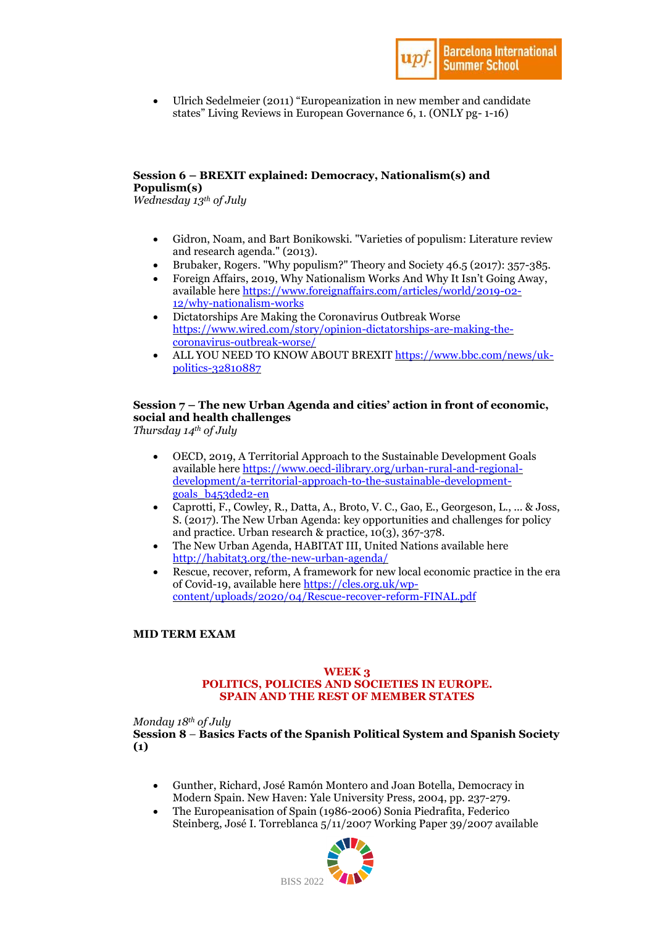

 Ulrich Sedelmeier (2011) "Europeanization in new member and candidate states" Living Reviews in European Governance 6, 1. (ONLY pg- 1-16)

### **Session 6 – BREXIT explained: Democracy, Nationalism(s) and Populism(s)**

*Wednesday 13th of July* 

- Gidron, Noam, and Bart Bonikowski. "Varieties of populism: Literature review and research agenda." (2013).
- Brubaker, Rogers. "Why populism?" Theory and Society 46.5 (2017): 357-385.
- Foreign Affairs, 2019, Why Nationalism Works And Why It Isn't Going Away, available her[e https://www.foreignaffairs.com/articles/world/2019-02-](https://www.foreignaffairs.com/articles/world/2019-02-12/why-nationalism-works) [12/why-nationalism-works](https://www.foreignaffairs.com/articles/world/2019-02-12/why-nationalism-works)
- Dictatorships Are Making the Coronavirus Outbreak Worse [https://www.wired.com/story/opinion-dictatorships-are-making-the](https://www.wired.com/story/opinion-dictatorships-are-making-the-coronavirus-outbreak-worse/)[coronavirus-outbreak-worse/](https://www.wired.com/story/opinion-dictatorships-are-making-the-coronavirus-outbreak-worse/)
- ALL YOU NEED TO KNOW ABOUT BREXIT [https://www.bbc.com/news/uk](https://www.bbc.com/news/uk-politics-32810887)[politics-32810887](https://www.bbc.com/news/uk-politics-32810887)

### **Session 7 – The new Urban Agenda and cities' action in front of economic, social and health challenges**

*Thursday 14th of July*

- OECD, 2019, A Territorial Approach to the Sustainable Development Goals available her[e https://www.oecd-ilibrary.org/urban-rural-and-regional](https://www.oecd-ilibrary.org/urban-rural-and-regional-development/a-territorial-approach-to-the-sustainable-development-goals_b453ded2-en)[development/a-territorial-approach-to-the-sustainable-development](https://www.oecd-ilibrary.org/urban-rural-and-regional-development/a-territorial-approach-to-the-sustainable-development-goals_b453ded2-en)[goals\\_b453ded2-en](https://www.oecd-ilibrary.org/urban-rural-and-regional-development/a-territorial-approach-to-the-sustainable-development-goals_b453ded2-en)
- Caprotti, F., Cowley, R., Datta, A., Broto, V. C., Gao, E., Georgeson, L., ... & Joss, S. (2017). The New Urban Agenda: key opportunities and challenges for policy and practice. Urban research & practice, 10(3), 367-378.
- The New Urban Agenda, HABITAT III, United Nations available here <http://habitat3.org/the-new-urban-agenda/>
- Rescue, recover, reform, A framework for new local economic practice in the era of Covid-19, available here [https://cles.org.uk/wp](https://cles.org.uk/wp-content/uploads/2020/04/Rescue-recover-reform-FINAL.pdf)[content/uploads/2020/04/Rescue-recover-reform-FINAL.pdf](https://cles.org.uk/wp-content/uploads/2020/04/Rescue-recover-reform-FINAL.pdf)

### **MID TERM EXAM**

### **WEEK 3 POLITICS, POLICIES AND SOCIETIES IN EUROPE. SPAIN AND THE REST OF MEMBER STATES**

*Monday 18th of July* 

**Session 8** – **Basics Facts of the Spanish Political System and Spanish Society (1)**

- Gunther, Richard, José Ramón Montero and Joan Botella, Democracy in Modern Spain. New Haven: Yale University Press, 2004, pp. 237-279.
- The Europeanisation of Spain (1986-2006) Sonia Piedrafita, Federico Steinberg, José I. Torreblanca 5/11/2007 Working Paper 39/2007 available

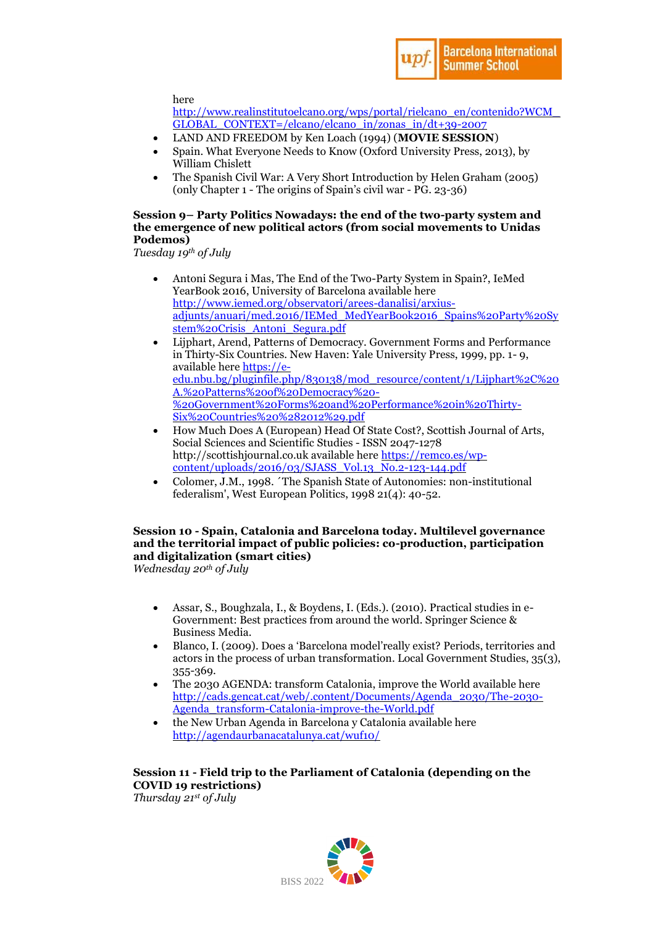

here

[http://www.realinstitutoelcano.org/wps/portal/rielcano\\_en/contenido?WCM\\_](http://www.realinstitutoelcano.org/wps/portal/rielcano_en/contenido?WCM_GLOBAL_CONTEXT=/elcano/elcano_in/zonas_in/dt+39-2007) [GLOBAL\\_CONTEXT=/elcano/elcano\\_in/zonas\\_in/dt+39-2007](http://www.realinstitutoelcano.org/wps/portal/rielcano_en/contenido?WCM_GLOBAL_CONTEXT=/elcano/elcano_in/zonas_in/dt+39-2007)

- LAND AND FREEDOM by Ken Loach (1994) (**MOVIE SESSION**)
- Spain. What Everyone Needs to Know (Oxford University Press, 2013), by William Chislett
- The Spanish Civil War: A Very Short Introduction by Helen Graham (2005) (only Chapter 1 - The origins of Spain's civil war - PG. 23-36)

### **Session 9– Party Politics Nowadays: the end of the two-party system and the emergence of new political actors (from social movements to Unidas Podemos)**

*Tuesday 19th of July*

- Antoni Segura i Mas, The End of the Two-Party System in Spain?, IeMed YearBook 2016, University of Barcelona available here [http://www.iemed.org/observatori/arees-danalisi/arxius](http://www.iemed.org/observatori/arees-danalisi/arxius-adjunts/anuari/med.2016/IEMed_MedYearBook2016_Spains%20Party%20System%20Crisis_Antoni_Segura.pdf)[adjunts/anuari/med.2016/IEMed\\_MedYearBook2016\\_Spains%20Party%20Sy](http://www.iemed.org/observatori/arees-danalisi/arxius-adjunts/anuari/med.2016/IEMed_MedYearBook2016_Spains%20Party%20System%20Crisis_Antoni_Segura.pdf) [stem%20Crisis\\_Antoni\\_Segura.pdf](http://www.iemed.org/observatori/arees-danalisi/arxius-adjunts/anuari/med.2016/IEMed_MedYearBook2016_Spains%20Party%20System%20Crisis_Antoni_Segura.pdf)
- Lijphart, Arend, Patterns of Democracy. Government Forms and Performance in Thirty-Six Countries. New Haven: Yale University Press, 1999, pp. 1- 9, available her[e https://e](https://e-edu.nbu.bg/pluginfile.php/830138/mod_resource/content/1/Lijphart%2C%20A.%20Patterns%20of%20Democracy%20-%20Government%20Forms%20and%20Performance%20in%20Thirty-Six%20Countries%20%282012%29.pdf)[edu.nbu.bg/pluginfile.php/830138/mod\\_resource/content/1/Lijphart%2C%20](https://e-edu.nbu.bg/pluginfile.php/830138/mod_resource/content/1/Lijphart%2C%20A.%20Patterns%20of%20Democracy%20-%20Government%20Forms%20and%20Performance%20in%20Thirty-Six%20Countries%20%282012%29.pdf) [A.%20Patterns%20of%20Democracy%20-](https://e-edu.nbu.bg/pluginfile.php/830138/mod_resource/content/1/Lijphart%2C%20A.%20Patterns%20of%20Democracy%20-%20Government%20Forms%20and%20Performance%20in%20Thirty-Six%20Countries%20%282012%29.pdf) [%20Government%20Forms%20and%20Performance%20in%20Thirty-](https://e-edu.nbu.bg/pluginfile.php/830138/mod_resource/content/1/Lijphart%2C%20A.%20Patterns%20of%20Democracy%20-%20Government%20Forms%20and%20Performance%20in%20Thirty-Six%20Countries%20%282012%29.pdf)[Six%20Countries%20%282012%29.pdf](https://e-edu.nbu.bg/pluginfile.php/830138/mod_resource/content/1/Lijphart%2C%20A.%20Patterns%20of%20Democracy%20-%20Government%20Forms%20and%20Performance%20in%20Thirty-Six%20Countries%20%282012%29.pdf)
- How Much Does A (European) Head Of State Cost?, Scottish Journal of Arts, Social Sciences and Scientific Studies - ISSN 2047-1278 http://scottishjournal.co.uk available here [https://remco.es/wp](https://remco.es/wp-content/uploads/2016/03/SJASS_Vol.13_No.2-123-144.pdf)[content/uploads/2016/03/SJASS\\_Vol.13\\_No.2-123-144.pdf](https://remco.es/wp-content/uploads/2016/03/SJASS_Vol.13_No.2-123-144.pdf)
- Colomer, J.M., 1998. ´The Spanish State of Autonomies: non-institutional federalism', West European Politics, 1998 21(4): 40-52.

### **Session 10 - Spain, Catalonia and Barcelona today. Multilevel governance and the territorial impact of public policies: co-production, participation and digitalization (smart cities)**

*Wednesday 20th of July* 

- Assar, S., Boughzala, I., & Boydens, I. (Eds.). (2010). Practical studies in e-Government: Best practices from around the world. Springer Science & Business Media.
- Blanco, I. (2009). Does a 'Barcelona model'really exist? Periods, territories and actors in the process of urban transformation. Local Government Studies, 35(3), 355-369.
- The 2030 AGENDA: transform Catalonia, improve the World available here [http://cads.gencat.cat/web/.content/Documents/Agenda\\_2030/The-2030-](http://cads.gencat.cat/web/.content/Documents/Agenda_2030/The-2030-Agenda_transform-Catalonia-improve-the-World.pdf) [Agenda\\_transform-Catalonia-improve-the-World.pdf](http://cads.gencat.cat/web/.content/Documents/Agenda_2030/The-2030-Agenda_transform-Catalonia-improve-the-World.pdf)
- the New Urban Agenda in Barcelona y Catalonia available here <http://agendaurbanacatalunya.cat/wuf10/>

# **Session 11 - Field trip to the Parliament of Catalonia (depending on the COVID 19 restrictions)**

*Thursday 21st of July*

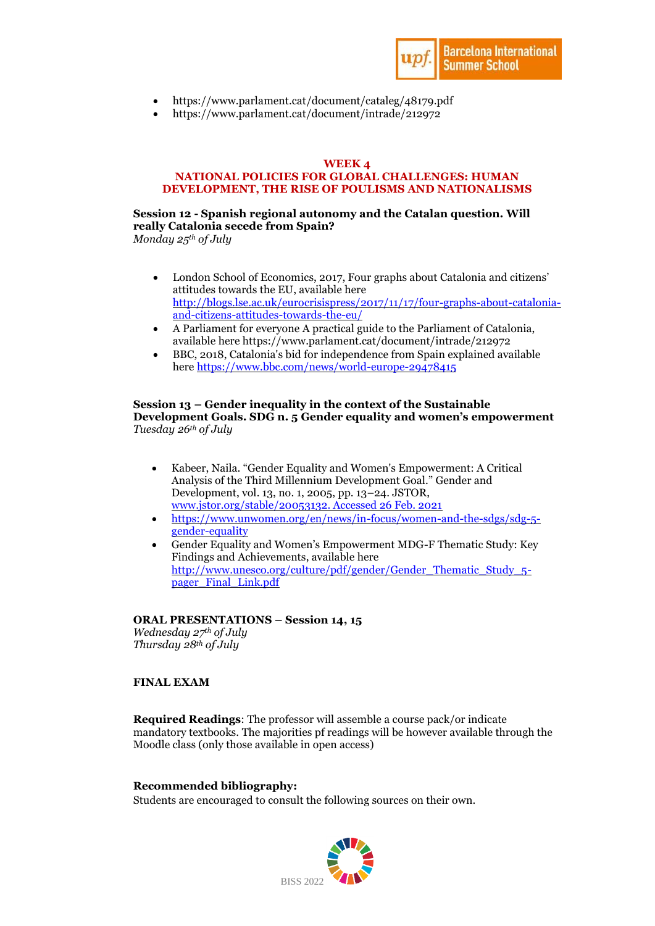

- https://www.parlament.cat/document/cataleg/48179.pdf
- https://www.parlament.cat/document/intrade/212972

### **WEEK 4**

#### **NATIONAL POLICIES FOR GLOBAL CHALLENGES: HUMAN DEVELOPMENT, THE RISE OF POULISMS AND NATIONALISMS**

## **Session 12 - Spanish regional autonomy and the Catalan question. Will really Catalonia secede from Spain?**

*Monday 25th of July*

- London School of Economics, 2017, Four graphs about Catalonia and citizens' attitudes towards the EU, available here [http://blogs.lse.ac.uk/eurocrisispress/2017/11/17/four-graphs-about-catalonia](http://blogs.lse.ac.uk/eurocrisispress/2017/11/17/four-graphs-about-catalonia-and-citizens-attitudes-towards-the-eu/)[and-citizens-attitudes-towards-the-eu/](http://blogs.lse.ac.uk/eurocrisispress/2017/11/17/four-graphs-about-catalonia-and-citizens-attitudes-towards-the-eu/)
- A Parliament for everyone A practical guide to the Parliament of Catalonia, available here https://www.parlament.cat/document/intrade/212972
- BBC, 2018, Catalonia's bid for independence from Spain explained available here<https://www.bbc.com/news/world-europe-29478415>

### **Session 13 – Gender inequality in the context of the Sustainable Development Goals. SDG n. 5 Gender equality and women's empowerment** *Tuesday 26th of July*

- Kabeer, Naila. "Gender Equality and Women's Empowerment: A Critical Analysis of the Third Millennium Development Goal." Gender and Development, vol. 13, no. 1, 2005, pp. 13–24. JSTOR, [www.jstor.org/stable/20053132. Accessed 26 Feb. 2021](http://www.jstor.org/stable/20053132.%20Accessed%2026%20Feb.%202021)
- [https://www.unwomen.org/en/news/in-focus/women-and-the-sdgs/sdg-5](https://www.unwomen.org/en/news/in-focus/women-and-the-sdgs/sdg-5-gender-equality) [gender-equality](https://www.unwomen.org/en/news/in-focus/women-and-the-sdgs/sdg-5-gender-equality)
- Gender Equality and Women's Empowerment MDG-F Thematic Study: Key Findings and Achievements, available here http://www.unesco.org/culture/pdf/gender/Gender Thematic Study 5[pager\\_Final\\_Link.pdf](http://www.unesco.org/culture/pdf/gender/Gender_Thematic_Study_5-pager_Final_Link.pdf)

### **ORAL PRESENTATIONS – Session 14, 15**

*Wednesday 27 th of July Thursday 28th of July*

### **FINAL EXAM**

**Required Readings**: The professor will assemble a course pack/or indicate mandatory textbooks. The majorities pf readings will be however available through the Moodle class (only those available in open access)

### **Recommended bibliography:**

Students are encouraged to consult the following sources on their own.

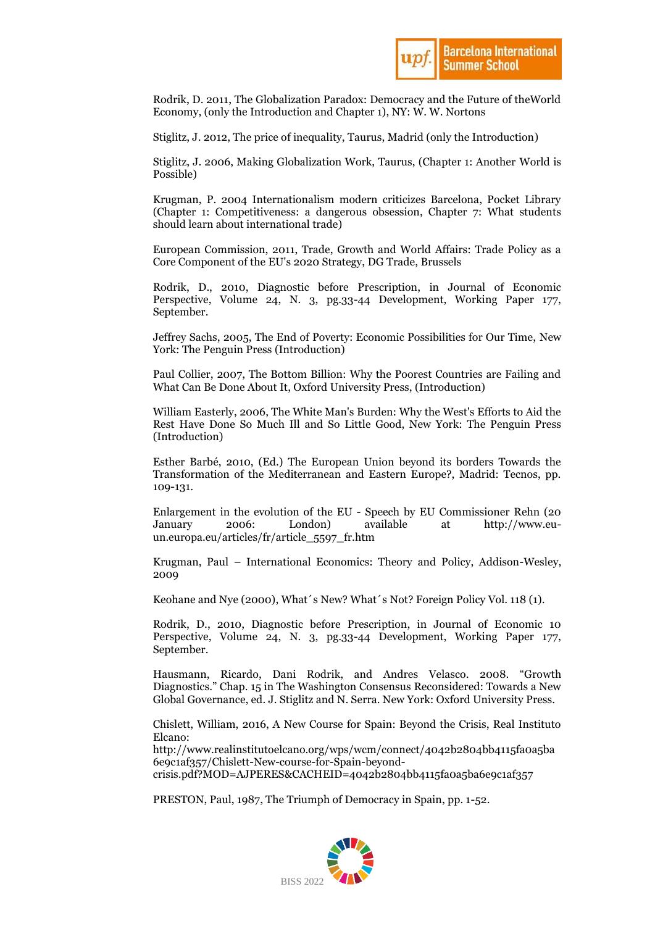

Rodrik, D. 2011, The Globalization Paradox: Democracy and the Future of theWorld Economy, (only the Introduction and Chapter 1), NY: W. W. Nortons

Stiglitz, J. 2012, The price of inequality, Taurus, Madrid (only the Introduction)

Stiglitz, J. 2006, Making Globalization Work, Taurus, (Chapter 1: Another World is Possible)

Krugman, P. 2004 Internationalism modern criticizes Barcelona, Pocket Library (Chapter 1: Competitiveness: a dangerous obsession, Chapter 7: What students should learn about international trade)

European Commission, 2011, Trade, Growth and World Affairs: Trade Policy as a Core Component of the EU's 2020 Strategy, DG Trade, Brussels

Rodrik, D., 2010, Diagnostic before Prescription, in Journal of Economic Perspective, Volume 24, N. 3, pg.33-44 Development, Working Paper 177, September.

Jeffrey Sachs, 2005, The End of Poverty: Economic Possibilities for Our Time, New York: The Penguin Press (Introduction)

Paul Collier, 2007, The Bottom Billion: Why the Poorest Countries are Failing and What Can Be Done About It, Oxford University Press, (Introduction)

William Easterly, 2006, The White Man's Burden: Why the West's Efforts to Aid the Rest Have Done So Much Ill and So Little Good, New York: The Penguin Press (Introduction)

Esther Barbé, 2010, (Ed.) The European Union beyond its borders Towards the Transformation of the Mediterranean and Eastern Europe?, Madrid: Tecnos, pp. 109-131.

Enlargement in the evolution of the EU - Speech by EU Commissioner Rehn (20 January 2006: London) available at http://www.euun.europa.eu/articles/fr/article\_5597\_fr.htm

Krugman, Paul – International Economics: Theory and Policy, Addison-Wesley, 2009

Keohane and Nye (2000), What´s New? What´s Not? Foreign Policy Vol. 118 (1).

Rodrik, D., 2010, Diagnostic before Prescription, in Journal of Economic 10 Perspective, Volume 24, N. 3, pg.33-44 Development, Working Paper 177, September.

Hausmann, Ricardo, Dani Rodrik, and Andres Velasco. 2008. "Growth Diagnostics." Chap. 15 in The Washington Consensus Reconsidered: Towards a New Global Governance, ed. J. Stiglitz and N. Serra. New York: Oxford University Press.

Chislett, William, 2016, A New Course for Spain: Beyond the Crisis, Real Instituto Elcano:

[http://www.realinstitutoelcano.org/wps/wcm/connect/4042b2804bb4115fa0a5ba](http://www.realinstitutoelcano.org/wps/wcm/connect/4042b2804bb4115fa0a5ba6e9c1af357/Chislett-New-course-for-Spain-beyond-crisis.pdf?MOD=AJPERES&CACHEID=4042b2804bb4115fa0a5ba6e9c1af357) [6e9c1af357/Chislett-New-course-for-Spain-beyond](http://www.realinstitutoelcano.org/wps/wcm/connect/4042b2804bb4115fa0a5ba6e9c1af357/Chislett-New-course-for-Spain-beyond-crisis.pdf?MOD=AJPERES&CACHEID=4042b2804bb4115fa0a5ba6e9c1af357)[crisis.pdf?MOD=AJPERES&CACHEID=4042b2804bb4115fa0a5ba6e9c1af357](http://www.realinstitutoelcano.org/wps/wcm/connect/4042b2804bb4115fa0a5ba6e9c1af357/Chislett-New-course-for-Spain-beyond-crisis.pdf?MOD=AJPERES&CACHEID=4042b2804bb4115fa0a5ba6e9c1af357)

PRESTON, Paul, 1987, The Triumph of Democracy in Spain, pp. 1-52.

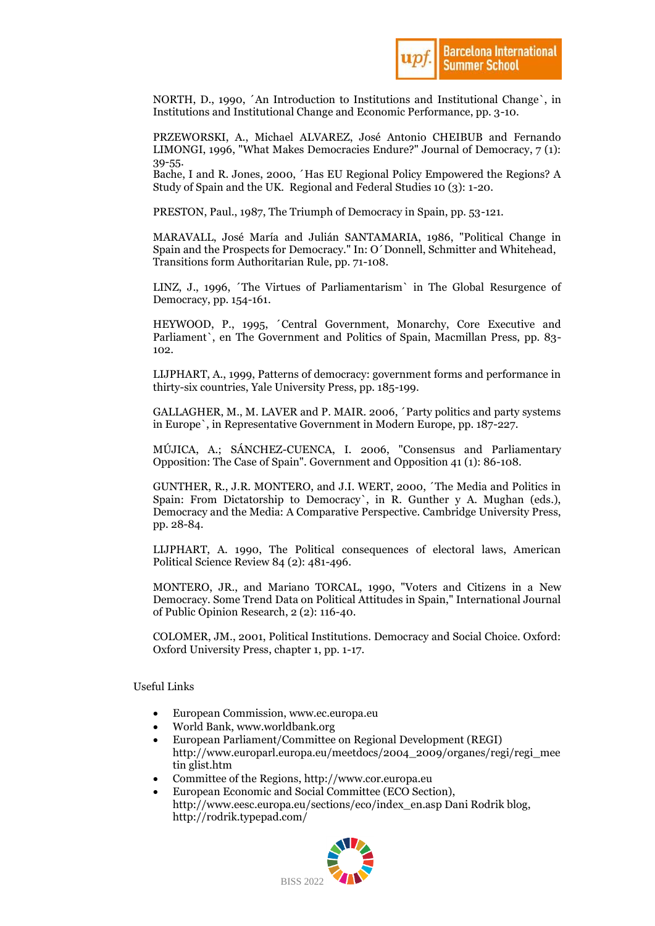

NORTH, D., 1990, ´An Introduction to Institutions and Institutional Change`, in Institutions and Institutional Change and Economic Performance, pp. 3-10.

PRZEWORSKI, A., Michael ALVAREZ, José Antonio CHEIBUB and Fernando LIMONGI, 1996, "What Makes Democracies Endure?" Journal of Democracy, 7 (1): 39-55.

Bache, I and R. Jones, 2000, ´Has EU Regional Policy Empowered the Regions? A Study of Spain and the UK. Regional and Federal Studies 10 (3): 1-20.

PRESTON, Paul., 1987, The Triumph of Democracy in Spain, pp. 53-121.

MARAVALL, José María and Julián SANTAMARIA, 1986, "Political Change in Spain and the Prospects for Democracy." In: O´Donnell, Schmitter and Whitehead, Transitions form Authoritarian Rule, pp. 71-108.

LINZ, J., 1996, ´The Virtues of Parliamentarism` in The Global Resurgence of Democracy, pp. 154-161.

HEYWOOD, P., 1995, ´Central Government, Monarchy, Core Executive and Parliament`, en The Government and Politics of Spain, Macmillan Press, pp. 83- 102.

LIJPHART, A., 1999, Patterns of democracy: government forms and performance in thirty-six countries, Yale University Press, pp. 185-199.

GALLAGHER, M., M. LAVER and P. MAIR. 2006, ´Party politics and party systems in Europe`, in Representative Government in Modern Europe, pp. 187-227.

MÚJICA, A.; SÁNCHEZ-CUENCA, I. 2006, "Consensus and Parliamentary Opposition: The Case of Spain". Government and Opposition 41 (1): 86-108.

GUNTHER, R., J.R. MONTERO, and J.I. WERT, 2000, ´The Media and Politics in Spain: From Dictatorship to Democracy`, in R. Gunther y A. Mughan (eds.), Democracy and the Media: A Comparative Perspective. Cambridge University Press, pp. 28-84.

LIJPHART, A. 1990, The Political consequences of electoral laws, American Political Science Review 84 (2): 481-496.

MONTERO, JR., and Mariano TORCAL, 1990, "Voters and Citizens in a New Democracy. Some Trend Data on Political Attitudes in Spain," International Journal of Public Opinion Research, 2 (2): 116-40.

COLOMER, JM., 2001, Political Institutions. Democracy and Social Choice. Oxford: Oxford University Press, chapter 1, pp. 1-17.

### Useful Links

- European Commission, www.ec.europa.eu
- World Bank, www.worldbank.org
- European Parliament/Committee on Regional Development (REGI) http://www.europarl.europa.eu/meetdocs/2004\_2009/organes/regi/regi\_mee tin glist.htm
- Committee of the Regions, http://www.cor.europa.eu
- European Economic and Social Committee (ECO Section), http://www.eesc.europa.eu/sections/eco/index\_en.asp Dani Rodrik blog, http://rodrik.typepad.com/